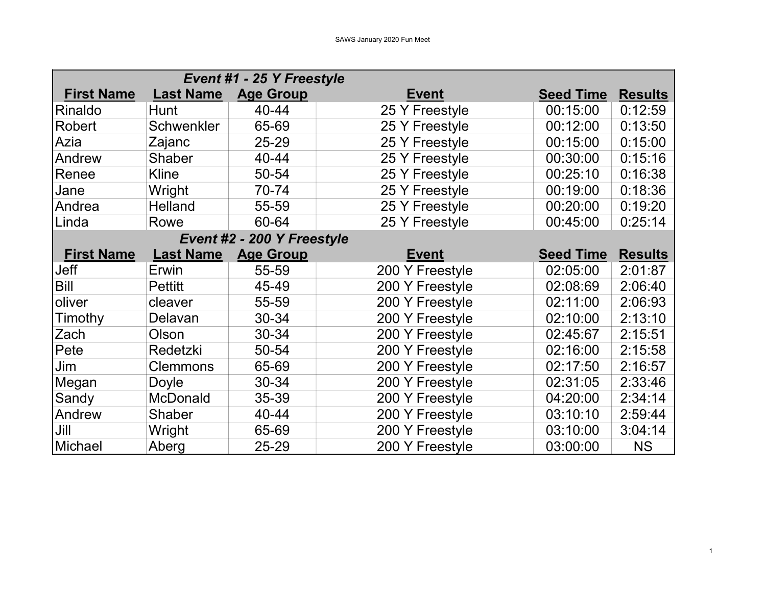|                   |                  | Event #1 - 25 Y Freestyle  |                 |                  |                |
|-------------------|------------------|----------------------------|-----------------|------------------|----------------|
| <b>First Name</b> | <b>Last Name</b> | <b>Age Group</b>           | <b>Event</b>    | <b>Seed Time</b> | <b>Results</b> |
| Rinaldo           | <b>Hunt</b>      | 40-44                      | 25 Y Freestyle  | 00:15:00         | 0:12:59        |
| Robert            | Schwenkler       | 65-69                      | 25 Y Freestyle  | 00:12:00         | 0:13:50        |
| Azia              | Zajanc           | 25-29                      | 25 Y Freestyle  | 00:15:00         | 0:15:00        |
| Andrew            | Shaber           | 40-44                      | 25 Y Freestyle  | 00:30:00         | 0:15:16        |
| Renee             | <b>Kline</b>     | 50-54                      | 25 Y Freestyle  | 00:25:10         | 0:16:38        |
| Jane              | Wright           | 70-74                      | 25 Y Freestyle  | 00:19:00         | 0:18:36        |
| Andrea            | <b>Helland</b>   | 55-59                      | 25 Y Freestyle  | 00:20:00         | 0:19:20        |
| Linda             | Rowe             | 60-64                      | 25 Y Freestyle  | 00:45:00         | 0:25:14        |
|                   |                  | Event #2 - 200 Y Freestyle |                 |                  |                |
| <b>First Name</b> | <b>Last Name</b> | <b>Age Group</b>           | <b>Event</b>    | <b>Seed Time</b> | <b>Results</b> |
| <b>Jeff</b>       | Erwin            | 55-59                      | 200 Y Freestyle | 02:05:00         | 2:01:87        |
| <b>Bill</b>       | <b>Pettitt</b>   | 45-49                      | 200 Y Freestyle | 02:08:69         | 2:06:40        |
| oliver            | cleaver          | 55-59                      | 200 Y Freestyle | 02:11:00         | 2:06:93        |
| Timothy           | Delavan          | 30-34                      | 200 Y Freestyle | 02:10:00         | 2:13:10        |
| <b>Zach</b>       | Olson            | 30-34                      | 200 Y Freestyle | 02:45:67         | 2:15:51        |
| Pete              | Redetzki         | 50-54                      | 200 Y Freestyle | 02:16:00         | 2:15:58        |
| Jim               | <b>Clemmons</b>  | 65-69                      | 200 Y Freestyle | 02:17:50         | 2:16:57        |
| Megan             | Doyle            | 30-34                      | 200 Y Freestyle | 02:31:05         | 2:33:46        |
| Sandy             | <b>McDonald</b>  | 35-39                      | 200 Y Freestyle | 04:20:00         | 2:34:14        |
| Andrew            | <b>Shaber</b>    | 40-44                      | 200 Y Freestyle | 03:10:10         | 2:59:44        |
| $ J$ ill          | Wright           | 65-69                      | 200 Y Freestyle | 03:10:00         | 3:04:14        |
| Michael           | Aberg            | 25-29                      | 200 Y Freestyle | 03:00:00         | <b>NS</b>      |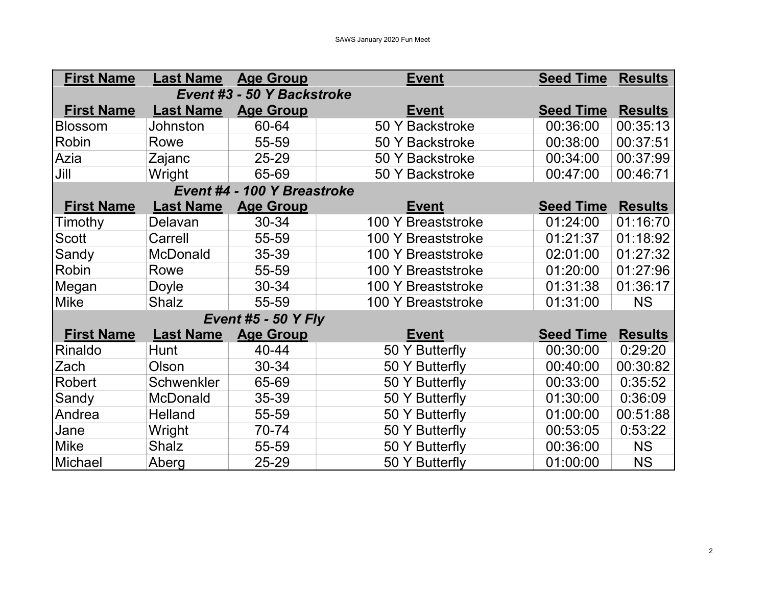| <b>First Name</b>          | <b>Last Name</b> | <b>Age Group</b>            | <b>Event</b>       | <b>Seed Time</b> | <b>Results</b> |  |
|----------------------------|------------------|-----------------------------|--------------------|------------------|----------------|--|
| Event #3 - 50 Y Backstroke |                  |                             |                    |                  |                |  |
| <b>First Name</b>          | <b>Last Name</b> | <b>Age Group</b>            | <b>Event</b>       | <b>Seed Time</b> | <b>Results</b> |  |
| Blossom                    | <b>Johnston</b>  | 60-64                       | 50 Y Backstroke    | 00:36:00         | 00:35:13       |  |
| Robin                      | Rowe             | 55-59                       | 50 Y Backstroke    | 00:38:00         | 00:37:51       |  |
| Azia                       | Zajanc           | 25-29                       | 50 Y Backstroke    | 00:34:00         | 00:37:99       |  |
| Jill                       | Wright           | 65-69                       | 50 Y Backstroke    | 00:47:00         | 00:46:71       |  |
|                            |                  | Event #4 - 100 Y Breastroke |                    |                  |                |  |
| <b>First Name</b>          | <b>Last Name</b> | <b>Age Group</b>            | <b>Event</b>       | <b>Seed Time</b> | <b>Results</b> |  |
| Timothy                    | Delavan          | 30-34                       | 100 Y Breaststroke | 01:24:00         | 01:16:70       |  |
| Scott                      | Carrell          | 55-59                       | 100 Y Breaststroke | 01:21:37         | 01:18:92       |  |
| Sandy                      | <b>McDonald</b>  | 35-39                       | 100 Y Breaststroke | 02:01:00         | 01:27:32       |  |
| Robin                      | Rowe             | 55-59                       | 100 Y Breaststroke | 01:20:00         | 01:27:96       |  |
| Megan                      | Doyle            | 30-34                       | 100 Y Breaststroke | 01:31:38         | 01:36:17       |  |
| <b>Mike</b>                | <b>Shalz</b>     | 55-59                       | 100 Y Breaststroke | 01:31:00         | <b>NS</b>      |  |
|                            |                  | <b>Event #5 - 50 Y Fly</b>  |                    |                  |                |  |
| <b>First Name</b>          | <b>Last Name</b> | <b>Age Group</b>            | <b>Event</b>       | <b>Seed Time</b> | <b>Results</b> |  |
| Rinaldo                    | Hunt             | 40-44                       | 50 Y Butterfly     | 00:30:00         | 0:29:20        |  |
| Zach                       | Olson            | 30-34                       | 50 Y Butterfly     | 00:40:00         | 00:30:82       |  |
| Robert                     | Schwenkler       | 65-69                       | 50 Y Butterfly     | 00:33:00         | 0:35:52        |  |
| Sandy                      | <b>McDonald</b>  | 35-39                       | 50 Y Butterfly     | 01:30:00         | 0:36:09        |  |
| Andrea                     | Helland          | 55-59                       | 50 Y Butterfly     | 01:00:00         | 00:51:88       |  |
| Jane                       | Wright           | 70-74                       | 50 Y Butterfly     | 00:53:05         | 0:53:22        |  |
| <b>Mike</b>                | <b>Shalz</b>     | 55-59                       | 50 Y Butterfly     | 00:36:00         | <b>NS</b>      |  |
| Michael                    | Aberg            | 25-29                       | 50 Y Butterfly     | 01:00:00         | <b>NS</b>      |  |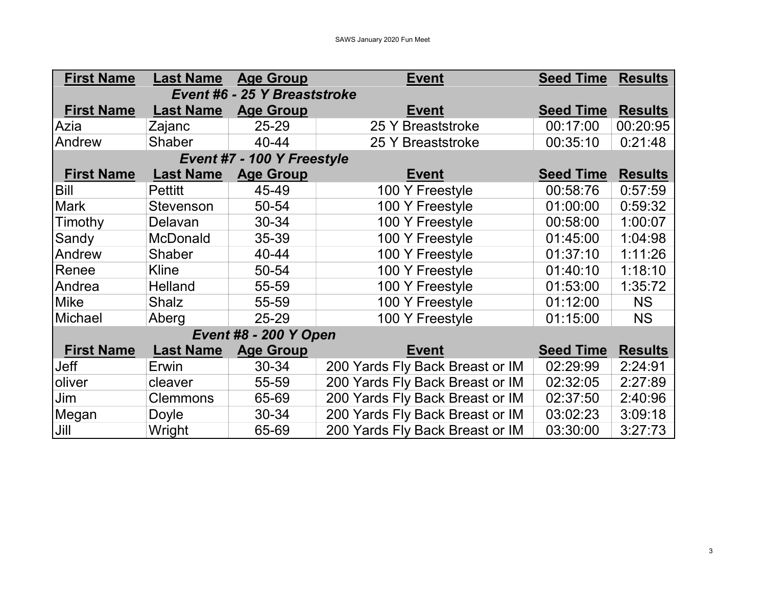| <b>First Name</b>            | <b>Last Name</b> | <b>Age Group</b>           | <b>Event</b>                    | <b>Seed Time</b> | <b>Results</b> |  |
|------------------------------|------------------|----------------------------|---------------------------------|------------------|----------------|--|
| Event #6 - 25 Y Breaststroke |                  |                            |                                 |                  |                |  |
| <b>First Name</b>            | <b>Last Name</b> | <b>Age Group</b>           | <b>Event</b>                    | <b>Seed Time</b> | <b>Results</b> |  |
| Azia                         | Zajanc           | 25-29                      | 25 Y Breaststroke               | 00:17:00         | 00:20:95       |  |
| Andrew                       | <b>Shaber</b>    | 40-44                      | 25 Y Breaststroke               | 00:35:10         | 0:21:48        |  |
|                              |                  | Event #7 - 100 Y Freestyle |                                 |                  |                |  |
| <b>First Name</b>            | <b>Last Name</b> | <b>Age Group</b>           | <b>Event</b>                    | <b>Seed Time</b> | <b>Results</b> |  |
| <b>Bill</b>                  | <b>Pettitt</b>   | 45-49                      | 100 Y Freestyle                 | 00:58:76         | 0:57:59        |  |
| <b>Mark</b>                  | <b>Stevenson</b> | 50-54                      | 100 Y Freestyle                 | 01:00:00         | 0:59:32        |  |
| Timothy                      | Delavan          | 30-34                      | 100 Y Freestyle                 | 00:58:00         | 1:00:07        |  |
| Sandy                        | <b>McDonald</b>  | 35-39                      | 100 Y Freestyle                 | 01:45:00         | 1:04:98        |  |
| Andrew                       | <b>Shaber</b>    | 40-44                      | 100 Y Freestyle                 | 01:37:10         | 1:11:26        |  |
| Renee                        | Kline            | 50-54                      | 100 Y Freestyle                 | 01:40:10         | 1:18:10        |  |
| Andrea                       | Helland          | 55-59                      | 100 Y Freestyle                 | 01:53:00         | 1:35:72        |  |
| <b>Mike</b>                  | <b>Shalz</b>     | 55-59                      | 100 Y Freestyle                 | 01:12:00         | <b>NS</b>      |  |
| Michael                      | Aberg            | $25 - 29$                  | 100 Y Freestyle                 | 01:15:00         | <b>NS</b>      |  |
| <b>Event #8 - 200 Y Open</b> |                  |                            |                                 |                  |                |  |
| <b>First Name</b>            | <b>Last Name</b> | <b>Age Group</b>           | <b>Event</b>                    | <b>Seed Time</b> | <b>Results</b> |  |
| Jeff                         | Erwin            | $30 - 34$                  | 200 Yards Fly Back Breast or IM | 02:29:99         | 2:24:91        |  |
| oliver                       | cleaver          | 55-59                      | 200 Yards Fly Back Breast or IM | 02:32:05         | 2:27:89        |  |
| Jim                          | <b>Clemmons</b>  | 65-69                      | 200 Yards Fly Back Breast or IM | 02:37:50         | 2:40:96        |  |
| Megan                        | Doyle            | 30-34                      | 200 Yards Fly Back Breast or IM | 03:02:23         | 3:09:18        |  |
| Jill                         | Wright           | 65-69                      | 200 Yards Fly Back Breast or IM | 03:30:00         | 3:27:73        |  |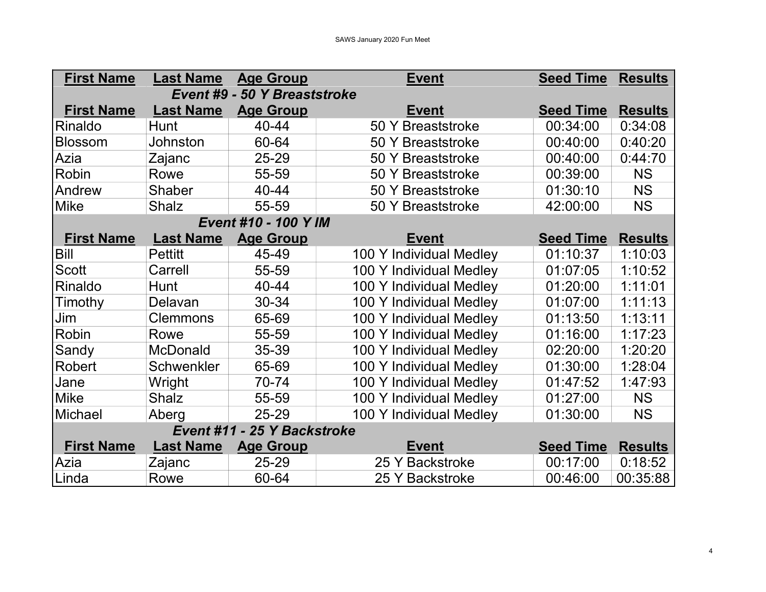| <b>First Name</b>                   | <b>Last Name</b> | <b>Age Group</b>     | <b>Event</b>            | <b>Seed Time</b> | <b>Results</b> |  |
|-------------------------------------|------------------|----------------------|-------------------------|------------------|----------------|--|
| <b>Event #9 - 50 Y Breaststroke</b> |                  |                      |                         |                  |                |  |
| <b>First Name</b>                   | <b>Last Name</b> | <b>Age Group</b>     | <b>Event</b>            | <b>Seed Time</b> | <b>Results</b> |  |
| Rinaldo                             | <b>Hunt</b>      | 40-44                | 50 Y Breaststroke       | 00:34:00         | 0:34:08        |  |
| <b>Blossom</b>                      | Johnston         | 60-64                | 50 Y Breaststroke       | 00:40:00         | 0:40:20        |  |
| Azia                                | Zajanc           | 25-29                | 50 Y Breaststroke       | 00:40:00         | 0:44:70        |  |
| Robin                               | Rowe             | 55-59                | 50 Y Breaststroke       | 00:39:00         | <b>NS</b>      |  |
| Andrew                              | Shaber           | 40-44                | 50 Y Breaststroke       | 01:30:10         | <b>NS</b>      |  |
| <b>Mike</b>                         | <b>Shalz</b>     | 55-59                | 50 Y Breaststroke       | 42:00:00         | <b>NS</b>      |  |
|                                     |                  | Event #10 - 100 Y IM |                         |                  |                |  |
| <b>First Name</b>                   | <b>Last Name</b> | <b>Age Group</b>     | <b>Event</b>            | <b>Seed Time</b> | <b>Results</b> |  |
| Bill                                | <b>Pettitt</b>   | 45-49                | 100 Y Individual Medley | 01:10:37         | 1:10:03        |  |
| Scott                               | Carrell          | 55-59                | 100 Y Individual Medley | 01:07:05         | 1:10:52        |  |
| Rinaldo                             | <b>Hunt</b>      | 40-44                | 100 Y Individual Medley | 01:20:00         | 1:11:01        |  |
| Timothy                             | Delavan          | 30-34                | 100 Y Individual Medley | 01:07:00         | 1:11:13        |  |
| Jim                                 | <b>Clemmons</b>  | 65-69                | 100 Y Individual Medley | 01:13:50         | 1:13:11        |  |
| Robin                               | Rowe             | 55-59                | 100 Y Individual Medley | 01:16:00         | 1:17:23        |  |
| Sandy                               | <b>McDonald</b>  | 35-39                | 100 Y Individual Medley | 02:20:00         | 1:20:20        |  |
| Robert                              | Schwenkler       | 65-69                | 100 Y Individual Medley | 01:30:00         | 1:28:04        |  |
| Jane                                | Wright           | 70-74                | 100 Y Individual Medley | 01:47:52         | 1:47:93        |  |
| <b>Mike</b>                         | <b>Shalz</b>     | 55-59                | 100 Y Individual Medley | 01:27:00         | <b>NS</b>      |  |
| Michael                             | Aberg            | 25-29                | 100 Y Individual Medley | 01:30:00         | <b>NS</b>      |  |
| Event #11 - 25 Y Backstroke         |                  |                      |                         |                  |                |  |
| <b>First Name</b>                   | <b>Last Name</b> | <b>Age Group</b>     | <b>Event</b>            | <b>Seed Time</b> | <b>Results</b> |  |
| Azia                                | Zajanc           | 25-29                | 25 Y Backstroke         | 00:17:00         | 0:18:52        |  |
| Linda                               | Rowe             | 60-64                | 25 Y Backstroke         | 00:46:00         | 00:35:88       |  |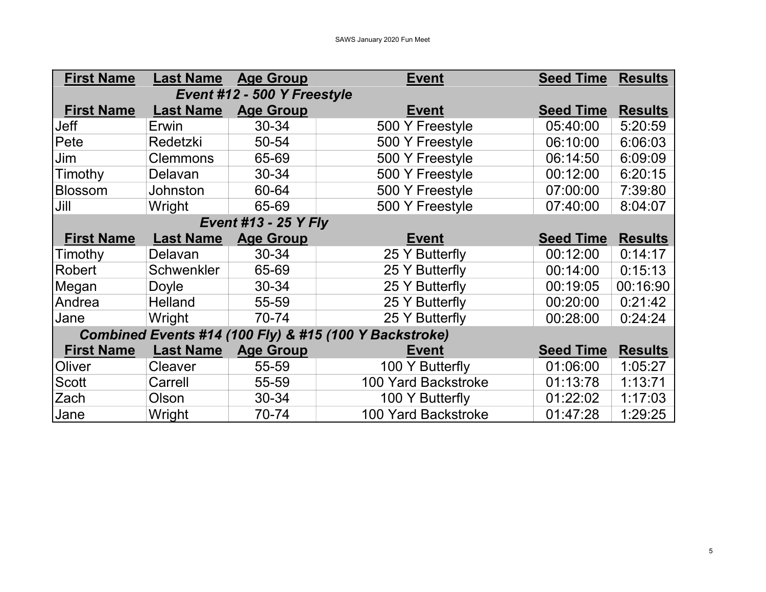| <b>First Name</b>                                      | <b>Last Name</b> | <b>Age Group</b> | <b>Event</b>               | <b>Seed Time Results</b> |                |  |  |
|--------------------------------------------------------|------------------|------------------|----------------------------|--------------------------|----------------|--|--|
| Event #12 - 500 Y Freestyle                            |                  |                  |                            |                          |                |  |  |
| <b>First Name</b>                                      | <b>Last Name</b> | <b>Age Group</b> | <b>Event</b>               | <b>Seed Time</b>         | <b>Results</b> |  |  |
| Jeff                                                   | Erwin            | 30-34            | 500 Y Freestyle            | 05:40:00                 | 5:20:59        |  |  |
| Pete                                                   | Redetzki         | 50-54            | 500 Y Freestyle            | 06:10:00                 | 6:06:03        |  |  |
| Jim                                                    | <b>Clemmons</b>  | 65-69            | 500 Y Freestyle            | 06:14:50                 | 6:09:09        |  |  |
| Timothy                                                | Delavan          | 30-34            | 500 Y Freestyle            | 00:12:00                 | 6:20:15        |  |  |
| <b>Blossom</b>                                         | <b>Johnston</b>  | 60-64            | 500 Y Freestyle            | 07:00:00                 | 7:39:80        |  |  |
| Jill                                                   | Wright           | 65-69            | 500 Y Freestyle            | 07:40:00                 | 8:04:07        |  |  |
| <b>Event #13 - 25 Y Fly</b>                            |                  |                  |                            |                          |                |  |  |
| <b>First Name</b>                                      | <b>Last Name</b> | <b>Age Group</b> | <b>Event</b>               | <b>Seed Time</b>         | <b>Results</b> |  |  |
| Timothy                                                | Delavan          | 30-34            | 25 Y Butterfly             | 00:12:00                 | 0:14:17        |  |  |
| <b>Robert</b>                                          | Schwenkler       | 65-69            | 25 Y Butterfly             | 00:14:00                 | 0:15:13        |  |  |
| Megan                                                  | Doyle            | 30-34            | 25 Y Butterfly             | 00:19:05                 | 00:16:90       |  |  |
| Andrea                                                 | Helland          | 55-59            | 25 Y Butterfly             | 00:20:00                 | 0:21:42        |  |  |
| Jane                                                   | Wright           | 70-74            | 25 Y Butterfly             | 00:28:00                 | 0:24:24        |  |  |
| Combined Events #14 (100 Fly) & #15 (100 Y Backstroke) |                  |                  |                            |                          |                |  |  |
| <b>First Name</b>                                      | <b>Last Name</b> | <b>Age Group</b> | <b>Event</b>               | <b>Seed Time</b>         | <b>Results</b> |  |  |
| Oliver                                                 | <b>Cleaver</b>   | 55-59            | 100 Y Butterfly            | 01:06:00                 | 1:05:27        |  |  |
| <b>Scott</b>                                           | Carrell          | 55-59            | 100 Yard Backstroke        | 01:13:78                 | 1:13:71        |  |  |
| Zach                                                   | Olson            | 30-34            | 100 Y Butterfly            | 01:22:02                 | 1:17:03        |  |  |
| Jane                                                   | Wright           | 70-74            | <b>100 Yard Backstroke</b> | 01:47:28                 | 1:29:25        |  |  |